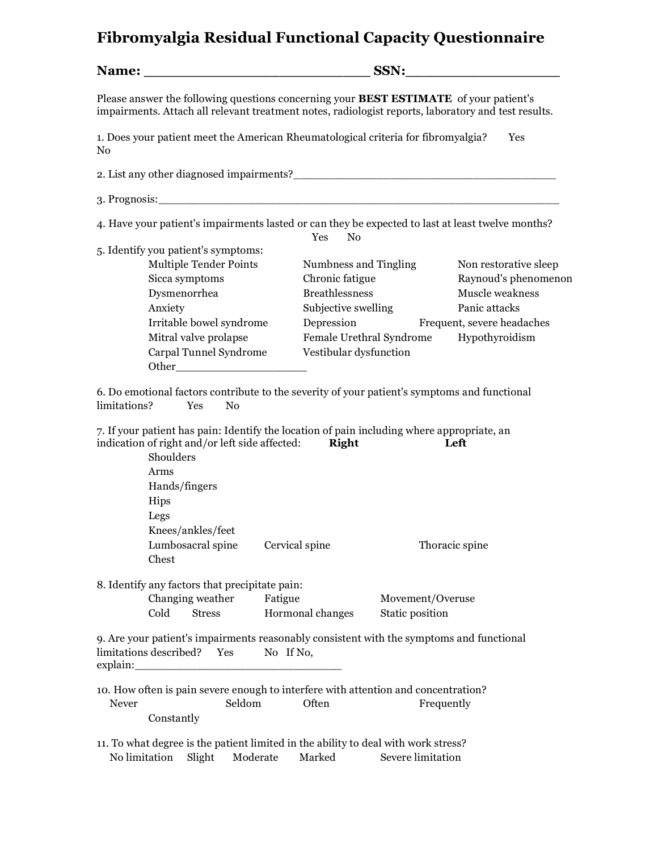## **Fibromyalgia Residual Functional Capacity Questionnaire**

| Please answer the following questions concerning your <b>BEST ESTIMATE</b> of your patient's<br>impairments. Attach all relevant treatment notes, radiologist reports, laboratory and test results. |                                         |                            |  |  |  |  |
|-----------------------------------------------------------------------------------------------------------------------------------------------------------------------------------------------------|-----------------------------------------|----------------------------|--|--|--|--|
| 1. Does your patient meet the American Rheumatological criteria for fibromyalgia?<br>N <sub>0</sub>                                                                                                 |                                         | Yes                        |  |  |  |  |
|                                                                                                                                                                                                     |                                         |                            |  |  |  |  |
|                                                                                                                                                                                                     |                                         |                            |  |  |  |  |
| 4. Have your patient's impairments lasted or can they be expected to last at least twelve months?<br>5. Identify you patient's symptoms:                                                            | No<br>Yes                               |                            |  |  |  |  |
| <b>Multiple Tender Points</b>                                                                                                                                                                       | Numbness and Tingling                   | Non restorative sleep      |  |  |  |  |
| Sicca symptoms                                                                                                                                                                                      | Chronic fatigue                         | Raynoud's phenomenon       |  |  |  |  |
| Dysmenorrhea                                                                                                                                                                                        | <b>Breathlessness</b>                   | Muscle weakness            |  |  |  |  |
| Anxiety                                                                                                                                                                                             | Subjective swelling                     | Panic attacks              |  |  |  |  |
| Irritable bowel syndrome                                                                                                                                                                            | Depression                              | Frequent, severe headaches |  |  |  |  |
| Mitral valve prolapse                                                                                                                                                                               | Female Urethral Syndrome Hypothyroidism |                            |  |  |  |  |
| Carpal Tunnel Syndrome                                                                                                                                                                              | Vestibular dysfunction                  |                            |  |  |  |  |
| 6. Do emotional factors contribute to the severity of your patient's symptoms and functional<br>limitations?<br>No<br><b>Yes</b>                                                                    |                                         |                            |  |  |  |  |
| 7. If your patient has pain: Identify the location of pain including where appropriate, an<br>indication of right and/or left side affected: Right<br>Shoulders                                     |                                         | Left                       |  |  |  |  |
| Arms                                                                                                                                                                                                |                                         |                            |  |  |  |  |
| Hands/fingers                                                                                                                                                                                       |                                         |                            |  |  |  |  |

Hips **Hips** Legs and the set of the set of the set of the set of the set of the set of the set of the set of the set of the set of the set of the set of the set of the set of the set of the set of the set of the set of the set of the Knees/ankles/feet

Lumbosacral spine Cervical spine Thoracic spine Chest

8. Identify any factors that precipitate pain: Changing weather Fatigue Movement/Overuse Cold Stress Hormonal changes Static position

9. Are your patient's impairments reasonably consistent with the symptoms and functional limitations described? Yes No If No, explain:

10. How often is pain severe enough to interfere with attention and concentration? Never Seldom Often Frequently Constantly

11. To what degree is the patient limited in the ability to deal with work stress? No limitation Slight Moderate Marked Severe limitation